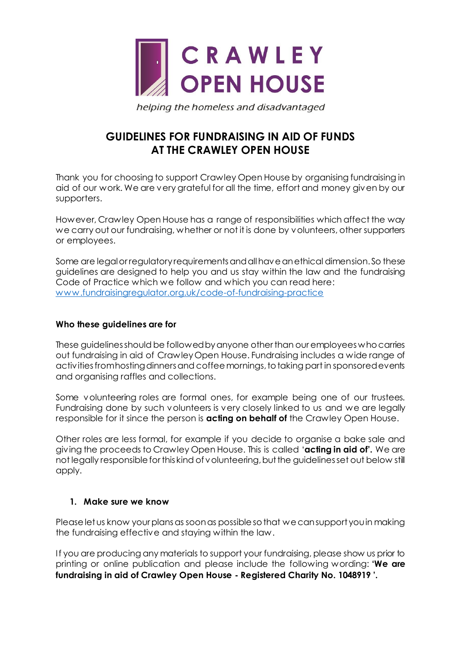

helping the homeless and disadvantaged

# **GUIDELINES FOR FUNDRAISING IN AID OF FUNDS AT THE CRAWLEY OPEN HOUSE**

Thank you for choosing to support Crawley Open House by organising fundraising in aid of our work. We are very grateful for all the time, effort and money given by our supporters.

However, Crawley Open House has a range of responsibilities which affect the way we carry out our fundraising, whether or not it is done by volunteers, other supporters or employees.

Some are legal or regulatory requirements and all have an ethical dimension. So these guidelines are designed to help you and us stay within the law and the fundraising Code of Practice which we follow and which you can read here: [www.fundraisingregulator.org.uk/code-of-fundraising-practic](http://www.fundraisingregulator.org.uk/code-of-fundraising-practice)e

## **Who these guidelines are for**

These guidelines should be followed by anyone other than our employees who carries out fundraising in aid of Crawley Open House. Fundraising includes a wide range of activities from hosting dinners and coffee mornings, to taking part in sponsored events and organising raffles and collections.

Some volunteering roles are formal ones, for example being one of our trustees. Fundraising done by such volunteers is very closely linked to us and we are legally responsible for it since the person is **acting on behalf of** the Crawley Open House.

Other roles are less formal, for example if you decide to organise a bake sale and giving the proceeds to Crawley Open House. This is called '**acting in aid of'.** We are not legally responsible for this kind of volunteering, but the guidelines set out below still apply.

## **1. Make sure we know**

Please let us know your plans as soon as possible so that we can support you in making the fundraising effective and staying within the law.

If you are producing any materials to support your fundraising, please show us prior to printing or online publication and please include the following wording: **'We are fundraising in aid of Crawley Open House - Registered Charity No. 1048919 '.**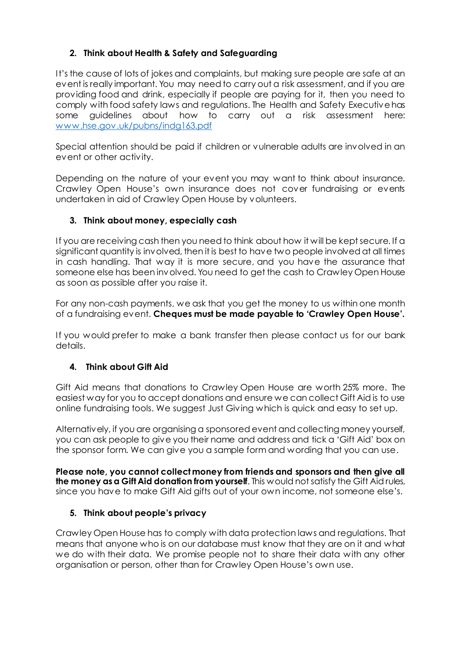# **2. Think about Health & Safety and Safeguarding**

It's the cause of lots of jokes and complaints, but making sure people are safe at an event is really important. You may need to carry out a risk assessment, and if you are providing food and drink, especially if people are paying for it, then you need to comply with food safety laws and regulations. The Health and Safety Executive has some guidelines about how to carry out a risk assessment here: [www.hse.gov.uk/pubns/indg163.pd](http://www.hse.gov.uk/pubns/indg163.pdf)f

Special attention should be paid if children or vulnerable adults are involved in an event or other activity.

Depending on the nature of your event you may want to think about insurance. Crawley Open House's own insurance does not cover fundraising or events undertaken in aid of Crawley Open House by volunteers.

## **3. Think about money, especially cash**

If you are receiving cash then you need to think about how it will be kept secure. If a significant quantity is involved, then it is best to have two people involved at all times in cash handling. That way it is more secure, and you have the assurance that someone else has been involved. You need to get the cash to Crawley Open House as soon as possible after you raise it.

For any non-cash payments, we ask that you get the money to us within one month of a fundraising event. **Cheques must be made payable to 'Crawley Open House'.**

If you would prefer to make a bank transfer then please contact us for our bank details.

# **4. Think about Gift Aid**

Gift Aid means that donations to Crawley Open House are worth 25% more. The easiest way for you to accept donations and ensure we can collect Gift Aid is to use online fundraising tools. We suggest Just Giving which is quick and easy to set up.

Alternatively, if you are organising a sponsored event and collecting money yourself, you can ask people to give you their name and address and tick a 'Gift Aid' box on the sponsor form. We can give you a sample form and wording that you can use.

**Please note, you cannot collect money from friends and sponsors and then give all the money as a Gift Aid donation from yourself**. This would not satisfy the Gift Aid rules, since you have to make Gift Aid gifts out of your own income, not someone else's.

# **5. Think about people's privacy**

Crawley Open House has to comply with data protection laws and regulations. That means that anyone who is on our database must know that they are on it and what we do with their data. We promise people not to share their data with any other organisation or person, other than for Crawley Open House's own use.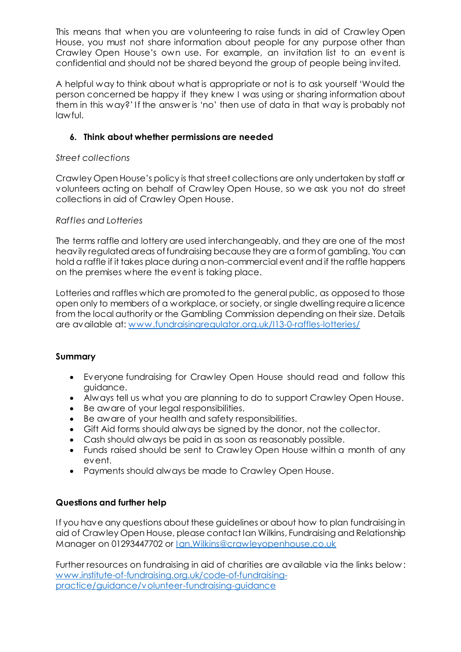This means that when you are volunteering to raise funds in aid of Crawley Open House, you must not share information about people for any purpose other than Crawley Open House's own use. For example, an invitation list to an event is confidential and should not be shared beyond the group of people being invited.

A helpful way to think about what is appropriate or not is to ask yourself 'Would the person concerned be happy if they knew I was using or sharing information about them in this way?' If the answer is 'no' then use of data in that way is probably not lawful.

## **6. Think about whether permissions are needed**

## *Street collections*

Crawley Open House's policy is that street collections are only undertaken by staff or volunteers acting on behalf of Crawley Open House, so we ask you not do street collections in aid of Crawley Open House.

## *Raffles and Lotteries*

The terms raffle and lottery are used interchangeably, and they are one of the most heavily regulated areas of fundraising because they are a form of gambling. You can hold a raffle if it takes place during a non-commercial event and if the raffle happens on the premises where the event is taking place.

Lotteries and raffles which are promoted to the general public, as opposed to those open only to members of a workplace, or society, or single dwelling require a licence from the local authority or the Gambling Commission depending on their size. Details are available at: [www.fundraisingregulator.org.uk/l13-0-raffles-lotterie](http://www.fundraisingregulator.org.uk/l13-0-raffles-lotteries/)s/

## **Summary**

- Everyone fundraising for Crawley Open House should read and follow this guidance.
- Always tell us what you are planning to do to support Crawley Open House.
- Be aware of your legal responsibilities.
- Be aware of your health and safety responsibilities.
- Gift Aid forms should always be signed by the donor, not the collector.
- Cash should always be paid in as soon as reasonably possible.
- Funds raised should be sent to Crawley Open House within a month of any event.
- Payments should always be made to Crawley Open House.

## **Questions and further help**

If you have any questions about these guidelines or about how to plan fundraising in aid of Crawley Open House, please contact Ian Wilkins, Fundraising and Relationship Manager on 01293447702 or *[Ian.Wilkins@crawleyopenhouse.co.u](mailto:Ian.Wilkins@crawleyopenhouse.co.uk)k* 

Further resources on fundraising in aid of charities are available via the links below : [www.institute-of-fundraising.org.uk/code-of-fundraising](http://www.institute-of-fundraising.org.uk/code-of-fundraising-practice/guidance/volunteer-fundraising-guidance)[practice/guidance/volunteer-fundraising-guidance](http://www.institute-of-fundraising.org.uk/code-of-fundraising-practice/guidance/volunteer-fundraising-guidance)